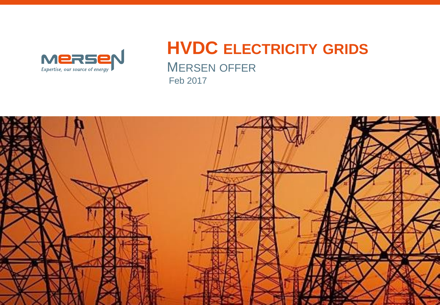

### **HVDC ELECTRICITY GRIDS** MERSEN OFFER Feb 2017

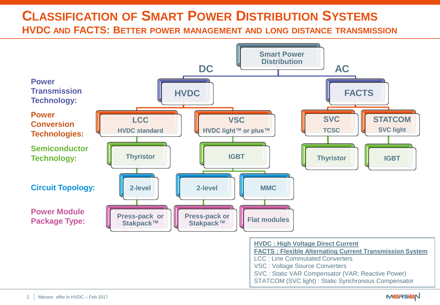### **CLASSIFICATION OF SMART POWER DISTRIBUTION SYSTEMS**

**HVDC AND FACTS: BETTER POWER MANAGEMENT AND LONG DISTANCE TRANSMISSION**



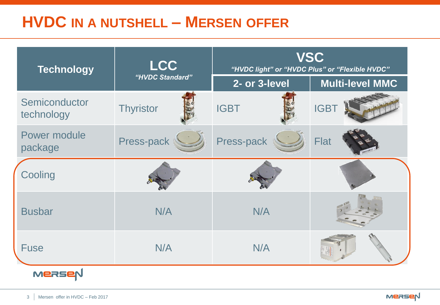# **HVDC IN A NUTSHELL – MERSEN OFFER**

| <b>Technology</b>           | <b>LCC</b><br>"HVDC Standard" | <b>VSC</b><br>"HVDC light" or "HVDC Plus" or "Flexible HVDC" |                        |
|-----------------------------|-------------------------------|--------------------------------------------------------------|------------------------|
|                             |                               | 2- or 3-level                                                | <b>Multi-level MMC</b> |
| Semiconductor<br>technology | <b>Thyristor</b>              | <b>IGBT</b>                                                  | <b>IGBT</b>            |
| Power module<br>package     | Press-pack                    | Press-pack                                                   | <b>Flat</b>            |
| Cooling                     |                               |                                                              |                        |
| <b>Busbar</b>               | N/A                           | N/A                                                          |                        |
| <b>Fuse</b>                 | N/A                           | N/A                                                          |                        |
| MERSE                       |                               |                                                              |                        |

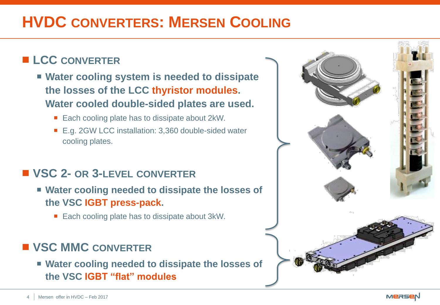# **HVDC CONVERTERS: MERSEN COOLING**

#### **LCC CONVERTER**

- **Water cooling system is needed to dissipate the losses of the LCC thyristor modules. Water cooled double-sided plates are used.**
	- Each cooling plate has to dissipate about 2kW.
	- E.g. 2GW LCC installation: 3,360 double-sided water cooling plates.

#### **VSC 2- OR 3-LEVEL CONVERTER**

- **Water cooling needed to dissipate the losses of the VSC IGBT press-pack.** 
	- Each cooling plate has to dissipate about 3kW.

#### **VSC MMC CONVERTER**

 **Water cooling needed to dissipate the losses of the VSC IGBT "flat" modules**

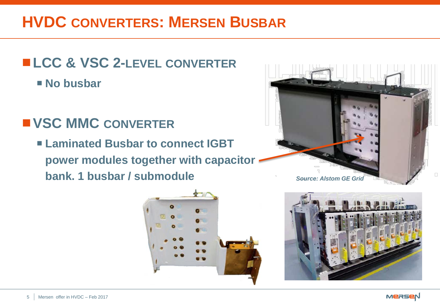# **HVDC CONVERTERS: MERSEN BUSBAR**

## **LCC & VSC 2-LEVEL CONVERTER**

**No busbar**

## **VSC MMC CONVERTER**

 **Laminated Busbar to connect IGBT power modules together with capacitor bank. 1 busbar / submodule** *Source: Alstom GE Grid*







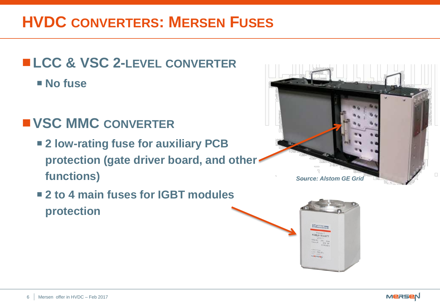# **HVDC CONVERTERS: MERSEN FUSES**

# **LCC & VSC 2-LEVEL CONVERTER**

**No fuse**

## **VSC MMC CONVERTER**

- **2 low-rating fuse for auxiliary PCB protection (gate driver board, and other functions)**
- 2 to 4 main fuses for **IGBT** modules **protection**





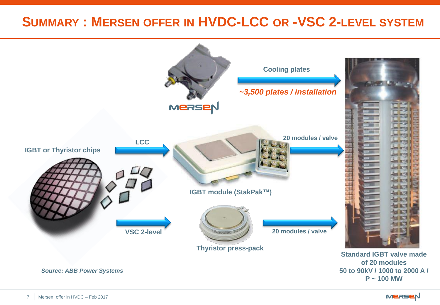### **SUMMARY : MERSEN OFFER IN HVDC-LCC OR -VSC 2-LEVEL SYSTEM**